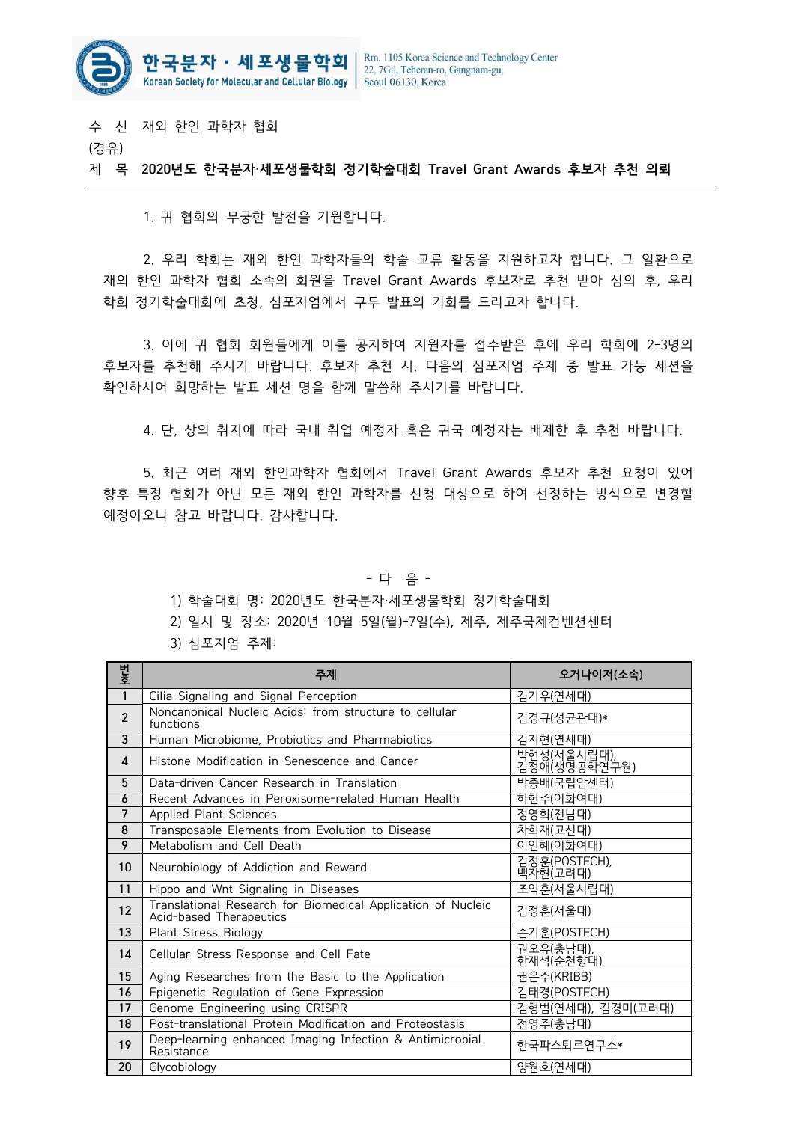

수 신 재외 한인 과학자 협회

(경유)

제 목 **2020년도 한국분자·세포생물학회 정기학술대회 Travel Grant Awards 후보자 추천 의뢰**

1. 귀 협회의 무궁한 발전을 기원합니다.

 2. 우리 학회는 재외 한인 과학자들의 학술 교류 활동을 지원하고자 합니다. 그 일환으로 재외 한인 과학자 협회 소속의 회원을 Travel Grant Awards 후보자로 추천 받아 심의 후, 우리 학회 정기학술대회에 초청, 심포지엄에서 구두 발표의 기회를 드리고자 합니다.

 3. 이에 귀 협회 회원들에게 이를 공지하여 지원자를 접수받은 후에 우리 학회에 2-3명의 후보자를 추천해 주시기 바랍니다. 후보자 추천 시, 다음의 심포지엄 주제 중 발표 가능 세션을 확인하시어 희망하는 발표 세션 명을 함께 말씀해 주시기를 바랍니다.

4. 단, 상의 취지에 따라 국내 취업 예정자 혹은 귀국 예정자는 배제한 후 추천 바랍니다.

 5. 최근 여러 재외 한인과학자 협회에서 Travel Grant Awards 후보자 추천 요청이 있어 향후 특정 협회가 아닌 모든 재외 한인 과학자를 신청 대상으로 하여 선정하는 방식으로 변경할 예정이오니 참고 바랍니다. 감사합니다.

- 다 음 -

3) 심포지엄 주제:

| 신호             | 주제                                                                                      | 오거나이저(소속)                   |
|----------------|-----------------------------------------------------------------------------------------|-----------------------------|
| $\mathbf{1}$   | Cilia Signaling and Signal Perception                                                   | 김기우(연세대)                    |
| $\overline{2}$ | Noncanonical Nucleic Acids: from structure to cellular<br>functions                     | 김경규(성균관대)*                  |
| 3              | Human Microbiome, Probiotics and Pharmabiotics                                          | 김지현(연세대)                    |
| 4              | Histone Modification in Senescence and Cancer                                           | 박현성(서울시립대),<br>김청애(생명공학연구원) |
| 5              | Data-driven Cancer Research in Translation                                              | 박종배(국립암센터)                  |
| 6              | Recent Advances in Peroxisome-related Human Health                                      | 하헌주(이화여대)                   |
| $\overline{7}$ | Applied Plant Sciences                                                                  | 정영희(전남대)                    |
| 8              | Transposable Elements from Evolution to Disease                                         | 차희재(고신대)                    |
| 9              | Metabolism and Cell Death                                                               | 이인혜(이화여대)                   |
| 10             | Neurobiology of Addiction and Reward                                                    | 김정훈(POSTECH),<br>백자현(고려대)   |
| 11             | Hippo and Wnt Signaling in Diseases                                                     | 조익훈(서울시립대)                  |
| 12             | Translational Research for Biomedical Application of Nucleic<br>Acid-based Therapeutics | 김정훈(서울대)                    |
| 13             | Plant Stress Biology                                                                    | 손기훈(POSTECH)                |
| 14             | Cellular Stress Response and Cell Fate                                                  | 권오유(충남대),<br>한재석(순천향대)      |
| 15             | Aging Researches from the Basic to the Application                                      | 권은수(KRIBB)                  |
| 16             | Epigenetic Regulation of Gene Expression                                                | 김태경(POSTECH)                |
| 17             | Genome Engineering using CRISPR                                                         | 김형범(연세대), 김경미(고려대)          |
| 18             | Post-translational Protein Modification and Proteostasis                                | 전영주(충남대)                    |
| 19             | Deep-learning enhanced Imaging Infection & Antimicrobial<br>Resistance                  | 한국파스퇴르연구소*                  |
| 20             | Glycobiology                                                                            | 양원호(연세대)                    |

 <sup>1)</sup> 학술대회 명: 2020년도 한국분자·세포생물학회 정기학술대회

 <sup>2)</sup> 일시 및 장소: 2020년 10월 5일(월)-7일(수), 제주, 제주국제컨벤션센터